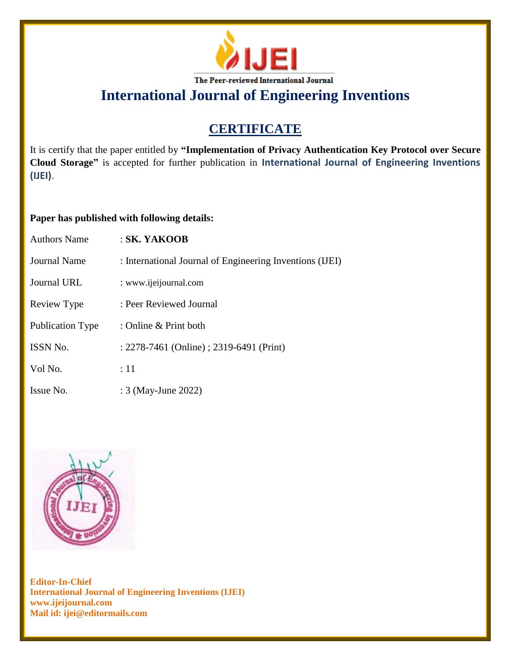

# **CERTIFICATE**

It is certify that the paper entitled by **"Implementation of Privacy Authentication Key Protocol over Secure Cloud Storage"** is accepted for further publication in **International Journal of Engineering Inventions (IJEI)**.

## **Paper has published with following details:**

| <b>Authors Name</b> | $:SK.$ YAKOOB                                            |
|---------------------|----------------------------------------------------------|
| Journal Name        | : International Journal of Engineering Inventions (IJEI) |
| Journal URL         | : www.ijeijournal.com                                    |
| Review Type         | : Peer Reviewed Journal                                  |
| Publication Type    | : Online & Print both                                    |
| <b>ISSN No.</b>     | : 2278-7461 (Online) ; 2319-6491 (Print)                 |
| Vol No.             | :11                                                      |
| Issue No.           | : 3 (May-June 2022)                                      |

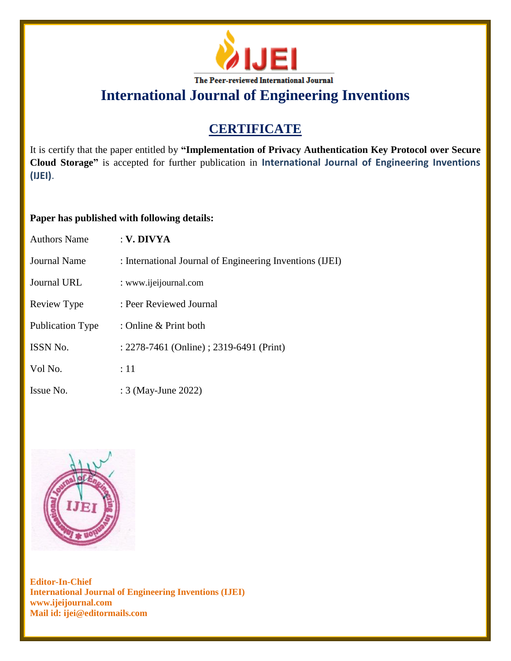

# **CERTIFICATE**

It is certify that the paper entitled by **"Implementation of Privacy Authentication Key Protocol over Secure Cloud Storage"** is accepted for further publication in **International Journal of Engineering Inventions (IJEI)**.

## **Paper has published with following details:**

| Authors Name        | $:$ V. DIVYA                                             |
|---------------------|----------------------------------------------------------|
| <b>Journal Name</b> | : International Journal of Engineering Inventions (IJEI) |
| Journal URL         | : www.ijeijournal.com                                    |
| Review Type         | : Peer Reviewed Journal                                  |
| Publication Type    | : Online $&$ Print both                                  |
| <b>ISSN No.</b>     | : 2278-7461 (Online) ; 2319-6491 (Print)                 |
| Vol No.             | $\div 11$                                                |
| Issue No.           | : 3 (May-June 2022)                                      |

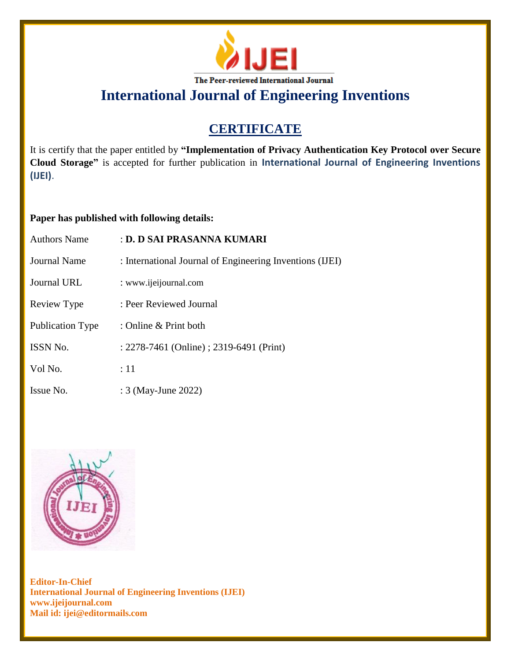

# **CERTIFICATE**

It is certify that the paper entitled by **"Implementation of Privacy Authentication Key Protocol over Secure Cloud Storage"** is accepted for further publication in **International Journal of Engineering Inventions (IJEI)**.

## **Paper has published with following details:**

| <b>Authors Name</b>     | : D. D SAI PRASANNA KUMARI                               |
|-------------------------|----------------------------------------------------------|
| <b>Journal Name</b>     | : International Journal of Engineering Inventions (IJEI) |
| Journal URL             | : www.ijeijournal.com                                    |
| Review Type             | : Peer Reviewed Journal                                  |
| <b>Publication Type</b> | : Online $&$ Print both                                  |
| <b>ISSN No.</b>         | : 2278-7461 (Online) ; 2319-6491 (Print)                 |
| Vol No.                 | $\div 11$                                                |
| Issue No.               | : 3 (May-June 2022)                                      |

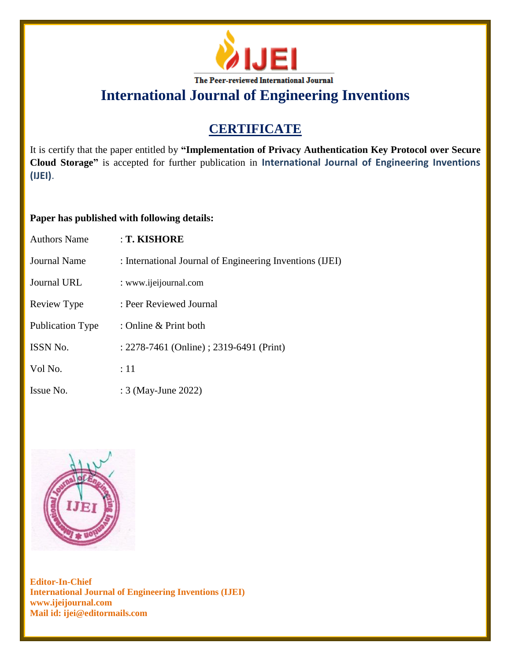

# **CERTIFICATE**

It is certify that the paper entitled by **"Implementation of Privacy Authentication Key Protocol over Secure Cloud Storage"** is accepted for further publication in **International Journal of Engineering Inventions (IJEI)**.

## **Paper has published with following details:**

| <b>Authors Name</b> | : T. KISHORE                                             |
|---------------------|----------------------------------------------------------|
| Journal Name        | : International Journal of Engineering Inventions (IJEI) |
| Journal URL         | : www.ijeijournal.com                                    |
| Review Type         | : Peer Reviewed Journal                                  |
| Publication Type    | : Online & Print both                                    |
| ISSN No.            | : 2278-7461 (Online) ; 2319-6491 (Print)                 |
| Vol No.             | :11                                                      |
| Issue No.           | : 3 (May-June 2022)                                      |

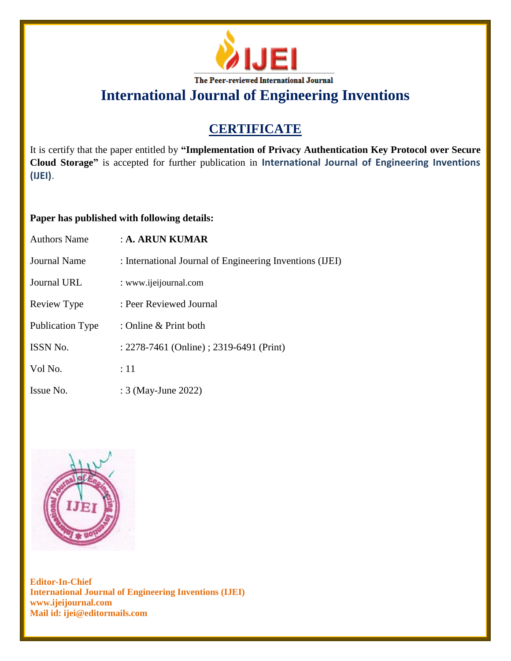

# **CERTIFICATE**

It is certify that the paper entitled by **"Implementation of Privacy Authentication Key Protocol over Secure Cloud Storage"** is accepted for further publication in **International Journal of Engineering Inventions (IJEI)**.

## **Paper has published with following details:**

| <b>Authors Name</b>     | $\therefore$ A. ARUN KUMAR                               |
|-------------------------|----------------------------------------------------------|
| Journal Name            | : International Journal of Engineering Inventions (IJEI) |
| Journal URL             | : www.ijeijournal.com                                    |
| Review Type             | : Peer Reviewed Journal                                  |
| <b>Publication Type</b> | : Online $&$ Print both                                  |
| <b>ISSN No.</b>         | : 2278-7461 (Online) ; 2319-6491 (Print)                 |
| Vol No.                 | :11                                                      |
| Issue No.               | : 3 (May-June 2022)                                      |